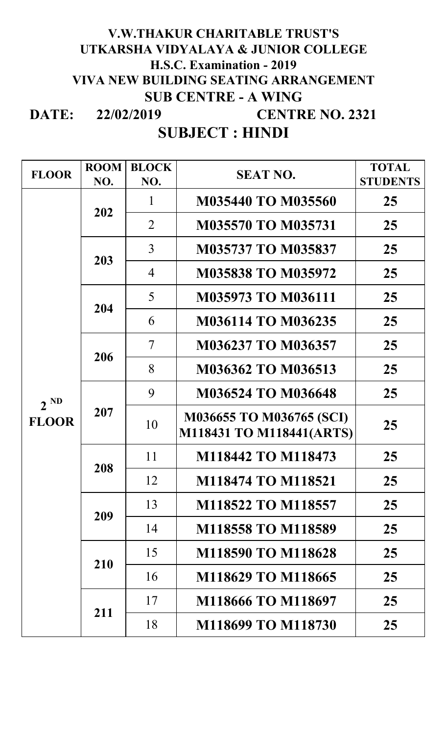#### **DATE: V.W.THAKUR CHARITABLE TRUST'S UTKARSHA VIDYALAYA & JUNIOR COLLEGE H.S.C. Examination - 2019 VIVA NEW BUILDING SEATING ARRANGEMENT SUB CENTRE - A WING CENTRE NO. 2321 22/02/2019**

**SUBJECT : HINDI**

| <b>FLOOR</b>             | <b>ROOM</b><br>NO. | <b>BLOCK</b><br>NO.      | <b>SEAT NO.</b>                                      | <b>TOTAL</b><br><b>STUDENTS</b> |
|--------------------------|--------------------|--------------------------|------------------------------------------------------|---------------------------------|
|                          |                    | 1                        | <b>M035440 TO M035560</b>                            | 25                              |
| $2^{ND}$<br><b>FLOOR</b> | 202                | $\overline{2}$           | <b>M035570 TO M035731</b>                            | 25                              |
|                          | 203                | 3                        | <b>M035737 TO M035837</b>                            | 25                              |
|                          |                    | $\overline{4}$           | <b>M035838 TO M035972</b>                            | 25                              |
|                          | 204                | 5                        | <b>M035973 TO M036111</b>                            | 25                              |
|                          |                    | 6                        | <b>M036114 TO M036235</b>                            | 25                              |
|                          | 206                | $\overline{\mathcal{L}}$ | M036237 TO M036357                                   | 25                              |
|                          |                    | 8                        | M036362 TO M036513                                   | 25                              |
|                          | 207                | 9                        | <b>M036524 TO M036648</b>                            | 25                              |
|                          |                    | 10                       | M036655 TO M036765 (SCI)<br>M118431 TO M118441(ARTS) | 25                              |
|                          | 208                | 11                       | M118442 TO M118473                                   | 25                              |
|                          |                    | 12                       | M118474 TO M118521                                   | 25                              |
|                          | 209                | 13                       | M118522 TO M118557                                   | 25                              |
|                          |                    | 14                       | <b>M118558 TO M118589</b>                            | 25                              |
|                          | 210                | 15                       | M118590 TO M118628                                   | 25                              |
|                          |                    | 16                       | M118629 TO M118665                                   | 25                              |
|                          | 211                | 17                       | M118666 TO M118697                                   | 25                              |
|                          |                    | 18                       | M118699 TO M118730                                   | 25                              |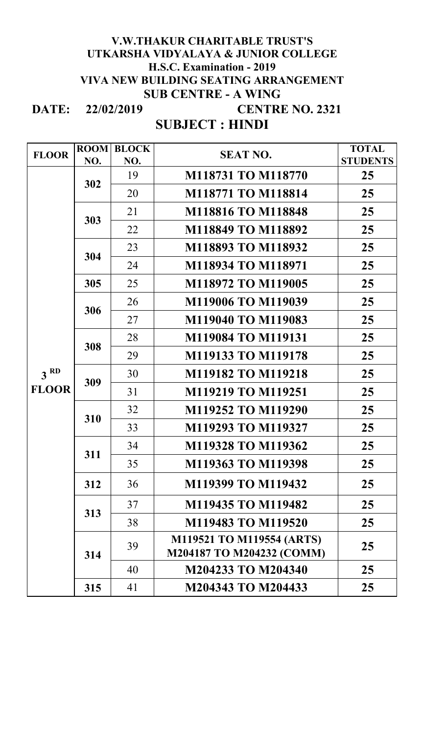#### **DATE: 22/02/2019 V.W.THAKUR CHARITABLE TRUST'S UTKARSHA VIDYALAYA & JUNIOR COLLEGE H.S.C. Examination - 2019 VIVA NEW BUILDING SEATING ARRANGEMENT SUB CENTRE - A WING CENTRE NO. 2321**

### **SUBJECT : HINDI**

| <b>FLOOR</b>    | <b>ROOM</b> | <b>BLOCK</b> | <b>SEAT NO.</b>           | <b>TOTAL</b>    |
|-----------------|-------------|--------------|---------------------------|-----------------|
|                 | NO.         | NO.          |                           | <b>STUDENTS</b> |
|                 | 302         | 19           | M118731 TO M118770        | 25              |
|                 |             | 20           | M118771 TO M118814        | 25              |
|                 | 303         | 21           | M118816 TO M118848        | 25              |
|                 |             | 22           | M118849 TO M118892        | 25              |
|                 | 304         | 23           | M118893 TO M118932        | 25              |
|                 |             | 24           | M118934 TO M118971        | 25              |
|                 | 305         | 25           | M118972 TO M119005        | 25              |
|                 | 306         | 26           | M119006 TO M119039        | 25              |
|                 |             | 27           | M119040 TO M119083        | 25              |
|                 | 308         | 28           | M119084 TO M119131        | 25              |
|                 |             | 29           | M119133 TO M119178        | 25              |
| 3 <sup>RD</sup> | 309         | 30           | M119182 TO M119218        | 25              |
| <b>FLOOR</b>    |             | 31           | M119219 TO M119251        | 25              |
|                 | 310         | 32           | M119252 TO M119290        | 25              |
|                 |             | 33           | M119293 TO M119327        | 25              |
|                 | 311         | 34           | M119328 TO M119362        | 25              |
|                 |             | 35           | M119363 TO M119398        | 25              |
|                 | 312         | 36           | M119399 TO M119432        | 25              |
|                 | 313         | 37           | M119435 TO M119482        | 25              |
|                 |             | 38           | M119483 TO M119520        | 25              |
|                 | 314         | 39           | M119521 TO M119554 (ARTS) | 25              |
|                 |             |              | M204187 TO M204232 (COMM) |                 |
|                 |             | 40           | M204233 TO M204340        | 25              |
|                 | 315         | 41           | M204343 TO M204433        | 25              |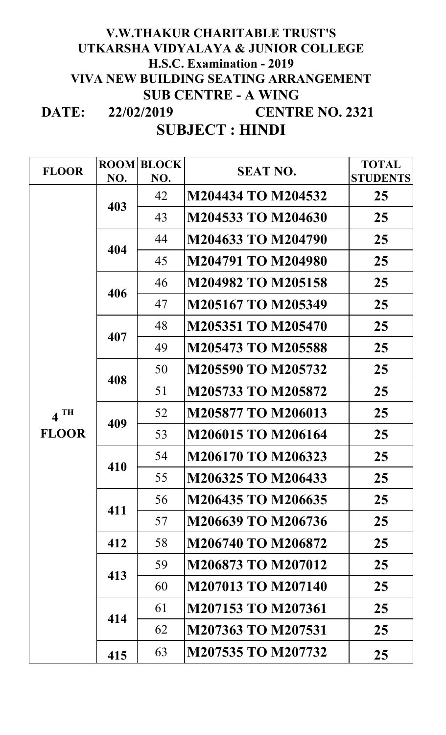#### **DATE: 22/02/2019 V.W.THAKUR CHARITABLE TRUST'S UTKARSHA VIDYALAYA & JUNIOR COLLEGE H.S.C. Examination - 2019 VIVA NEW BUILDING SEATING ARRANGEMENT SUB CENTRE - A WING CENTRE NO. 2321**

**SUBJECT : HINDI**

| <b>FLOOR</b>      | <b>ROOM</b> | <b>BLOCK</b> | <b>SEAT NO.</b>           | <b>TOTAL</b>    |
|-------------------|-------------|--------------|---------------------------|-----------------|
|                   | NO.         | NO.          |                           | <b>STUDENTS</b> |
|                   | 403         | 42           | M204434 TO M204532        | 25              |
|                   |             | 43           | M204533 TO M204630        | 25              |
|                   | 404         | 44           | M204633 TO M204790        | 25              |
|                   |             | 45           | M204791 TO M204980        | 25              |
|                   | 406         | 46           | M204982 TO M205158        | 25              |
|                   |             | 47           | M205167 TO M205349        | 25              |
| $4$ <sup>TH</sup> | 407         | 48           | M205351 TO M205470        | 25              |
|                   |             | 49           | M205473 TO M205588        | 25              |
|                   | 408         | 50           | M205590 TO M205732        | 25              |
|                   |             | 51           | M205733 TO M205872        | 25              |
|                   | 409         | 52           | M205877 TO M206013        | 25              |
| <b>FLOOR</b>      |             | 53           | M206015 TO M206164        | 25              |
|                   | 410         | 54           | M206170 TO M206323        | 25              |
|                   |             | 55           | M206325 TO M206433        | 25              |
|                   | 411         | 56           | M206435 TO M206635        | 25              |
|                   |             | 57           | M206639 TO M206736        | 25              |
|                   | 412         | 58           | M206740 TO M206872        | 25              |
|                   | 413         | 59           | M206873 TO M207012        | 25              |
|                   |             | 60           | <b>M207013 TO M207140</b> | 25              |
|                   | 414         | 61           | M207153 TO M207361        | 25              |
|                   |             | 62           | M207363 TO M207531        | 25              |
|                   | 415         | 63           | M207535 TO M207732        | 25              |